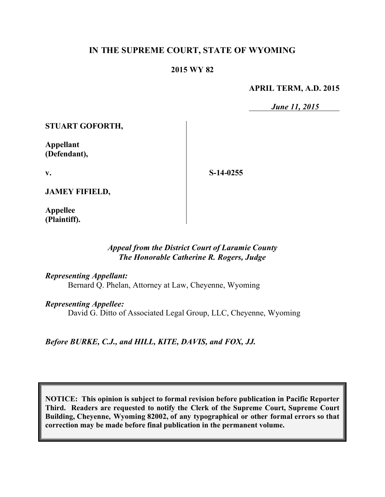# **IN THE SUPREME COURT, STATE OF WYOMING**

#### **2015 WY 82**

#### **APRIL TERM, A.D. 2015**

*June 11, 2015*

**STUART GOFORTH,**

**Appellant (Defendant),**

**v.**

**S-14-0255**

**JAMEY FIFIELD,**

**Appellee (Plaintiff).**

## *Appeal from the District Court of Laramie County The Honorable Catherine R. Rogers, Judge*

*Representing Appellant:*

Bernard Q. Phelan, Attorney at Law, Cheyenne, Wyoming

*Representing Appellee:*

David G. Ditto of Associated Legal Group, LLC, Cheyenne, Wyoming

*Before BURKE, C.J., and HILL, KITE, DAVIS, and FOX, JJ.*

**NOTICE: This opinion is subject to formal revision before publication in Pacific Reporter Third. Readers are requested to notify the Clerk of the Supreme Court, Supreme Court Building, Cheyenne, Wyoming 82002, of any typographical or other formal errors so that correction may be made before final publication in the permanent volume.**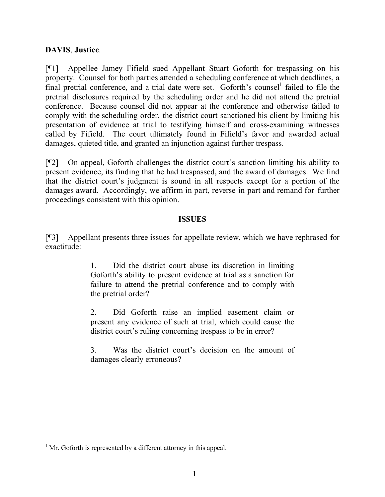# **DAVIS**, **Justice**.

[¶1] Appellee Jamey Fifield sued Appellant Stuart Goforth for trespassing on his property. Counsel for both parties attended a scheduling conference at which deadlines, a final pretrial conference, and a trial date were set. Goforth's counsel<sup>1</sup> failed to file the pretrial disclosures required by the scheduling order and he did not attend the pretrial conference. Because counsel did not appear at the conference and otherwise failed to comply with the scheduling order, the district court sanctioned his client by limiting his presentation of evidence at trial to testifying himself and cross-examining witnesses called by Fifield. The court ultimately found in Fifield's favor and awarded actual damages, quieted title, and granted an injunction against further trespass.

[¶2] On appeal, Goforth challenges the district court's sanction limiting his ability to present evidence, its finding that he had trespassed, and the award of damages. We find that the district court's judgment is sound in all respects except for a portion of the damages award. Accordingly, we affirm in part, reverse in part and remand for further proceedings consistent with this opinion.

#### **ISSUES**

[¶3] Appellant presents three issues for appellate review, which we have rephrased for exactitude:

> 1. Did the district court abuse its discretion in limiting Goforth's ability to present evidence at trial as a sanction for failure to attend the pretrial conference and to comply with the pretrial order?

> 2. Did Goforth raise an implied easement claim or present any evidence of such at trial, which could cause the district court's ruling concerning trespass to be in error?

> 3. Was the district court's decision on the amount of damages clearly erroneous?

 $\overline{a}$  $<sup>1</sup>$  Mr. Goforth is represented by a different attorney in this appeal.</sup>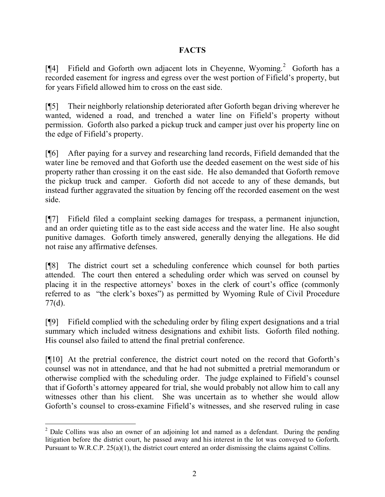# **FACTS**

[¶4] Fifield and Goforth own adjacent lots in Cheyenne, Wyoming.<sup>2</sup> Goforth has a recorded easement for ingress and egress over the west portion of Fifield's property, but for years Fifield allowed him to cross on the east side.

[¶5] Their neighborly relationship deteriorated after Goforth began driving wherever he wanted, widened a road, and trenched a water line on Fifield's property without permission. Goforth also parked a pickup truck and camper just over his property line on the edge of Fifield's property.

[¶6] After paying for a survey and researching land records, Fifield demanded that the water line be removed and that Goforth use the deeded easement on the west side of his property rather than crossing it on the east side. He also demanded that Goforth remove the pickup truck and camper. Goforth did not accede to any of these demands, but instead further aggravated the situation by fencing off the recorded easement on the west side.

[¶7] Fifield filed a complaint seeking damages for trespass, a permanent injunction, and an order quieting title as to the east side access and the water line. He also sought punitive damages. Goforth timely answered, generally denying the allegations. He did not raise any affirmative defenses.

[¶8] The district court set a scheduling conference which counsel for both parties attended. The court then entered a scheduling order which was served on counsel by placing it in the respective attorneys' boxes in the clerk of court's office (commonly referred to as "the clerk's boxes") as permitted by Wyoming Rule of Civil Procedure 77(d).

[¶9] Fifield complied with the scheduling order by filing expert designations and a trial summary which included witness designations and exhibit lists. Goforth filed nothing. His counsel also failed to attend the final pretrial conference.

[¶10] At the pretrial conference, the district court noted on the record that Goforth's counsel was not in attendance, and that he had not submitted a pretrial memorandum or otherwise complied with the scheduling order. The judge explained to Fifield's counsel that if Goforth's attorney appeared for trial, she would probably not allow him to call any witnesses other than his client. She was uncertain as to whether she would allow Goforth's counsel to cross-examine Fifield's witnesses, and she reserved ruling in case

 <sup>2</sup> Dale Collins was also an owner of an adjoining lot and named as a defendant. During the pending litigation before the district court, he passed away and his interest in the lot was conveyed to Goforth. Pursuant to W.R.C.P. 25(a)(1), the district court entered an order dismissing the claims against Collins.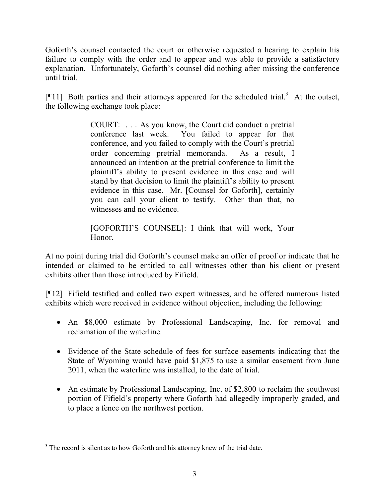Goforth's counsel contacted the court or otherwise requested a hearing to explain his failure to comply with the order and to appear and was able to provide a satisfactory explanation. Unfortunately, Goforth's counsel did nothing after missing the conference until trial.

[ $[11]$  Both parties and their attorneys appeared for the scheduled trial.<sup>3</sup> At the outset, the following exchange took place:

> COURT: . . . As you know, the Court did conduct a pretrial conference last week. You failed to appear for that conference, and you failed to comply with the Court's pretrial order concerning pretrial memoranda. As a result, I announced an intention at the pretrial conference to limit the plaintiff's ability to present evidence in this case and will stand by that decision to limit the plaintiff's ability to present evidence in this case. Mr. [Counsel for Goforth], certainly you can call your client to testify. Other than that, no witnesses and no evidence.

[GOFORTH'S COUNSEL]: I think that will work, Your Honor.

At no point during trial did Goforth's counsel make an offer of proof or indicate that he intended or claimed to be entitled to call witnesses other than his client or present exhibits other than those introduced by Fifield.

[¶12] Fifield testified and called two expert witnesses, and he offered numerous listed exhibits which were received in evidence without objection, including the following:

- An \$8,000 estimate by Professional Landscaping, Inc. for removal and reclamation of the waterline.
- Evidence of the State schedule of fees for surface easements indicating that the State of Wyoming would have paid \$1,875 to use a similar easement from June 2011, when the waterline was installed, to the date of trial.
- An estimate by Professional Landscaping, Inc. of \$2,800 to reclaim the southwest portion of Fifield's property where Goforth had allegedly improperly graded, and to place a fence on the northwest portion.

 $\overline{a}$  $3$  The record is silent as to how Goforth and his attorney knew of the trial date.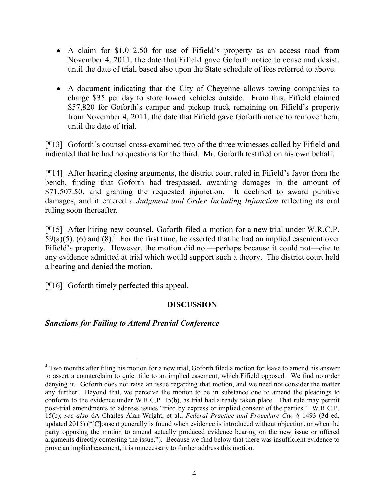- A claim for \$1,012.50 for use of Fifield's property as an access road from November 4, 2011, the date that Fifield gave Goforth notice to cease and desist, until the date of trial, based also upon the State schedule of fees referred to above.
- A document indicating that the City of Cheyenne allows towing companies to charge \$35 per day to store towed vehicles outside. From this, Fifield claimed \$57,820 for Goforth's camper and pickup truck remaining on Fifield's property from November 4, 2011, the date that Fifield gave Goforth notice to remove them, until the date of trial.

[¶13] Goforth's counsel cross-examined two of the three witnesses called by Fifield and indicated that he had no questions for the third. Mr. Goforth testified on his own behalf.

[¶14] After hearing closing arguments, the district court ruled in Fifield's favor from the bench, finding that Goforth had trespassed, awarding damages in the amount of \$71,507.50, and granting the requested injunction. It declined to award punitive damages, and it entered a *Judgment and Order Including Injunction* reflecting its oral ruling soon thereafter.

[¶15] After hiring new counsel, Goforth filed a motion for a new trial under W.R.C.P.  $59(a)(5)$ , (6) and  $(8)^4$ . For the first time, he asserted that he had an implied easement over Fifield's property. However, the motion did not—perhaps because it could not—cite to any evidence admitted at trial which would support such a theory. The district court held a hearing and denied the motion.

[¶16] Goforth timely perfected this appeal.

## **DISCUSSION**

## *Sanctions for Failing to Attend Pretrial Conference*

 <sup>4</sup> Two months after filing his motion for a new trial, Goforth filed a motion for leave to amend his answer to assert a counterclaim to quiet title to an implied easement, which Fifield opposed. We find no order denying it. Goforth does not raise an issue regarding that motion, and we need not consider the matter any further. Beyond that, we perceive the motion to be in substance one to amend the pleadings to conform to the evidence under W.R.C.P. 15(b), as trial had already taken place. That rule may permit post-trial amendments to address issues "tried by express or implied consent of the parties." W.R.C.P. 15(b); *see also* 6A Charles Alan Wright, et al., *Federal Practice and Procedure Civ.* § 1493 (3d ed. updated 2015) ("[C]onsent generally is found when evidence is introduced without objection, or when the party opposing the motion to amend actually produced evidence bearing on the new issue or offered arguments directly contesting the issue."). Because we find below that there was insufficient evidence to prove an implied easement, it is unnecessary to further address this motion.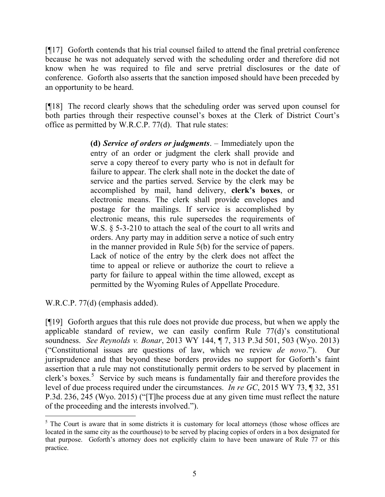[¶17] Goforth contends that his trial counsel failed to attend the final pretrial conference because he was not adequately served with the scheduling order and therefore did not know when he was required to file and serve pretrial disclosures or the date of conference. Goforth also asserts that the sanction imposed should have been preceded by an opportunity to be heard.

[¶18] The record clearly shows that the scheduling order was served upon counsel for both parties through their respective counsel's boxes at the Clerk of District Court's office as permitted by W.R.C.P. 77(d). That rule states:

> **(d)** *Service of orders or judgments*. – Immediately upon the entry of an order or judgment the clerk shall provide and serve a copy thereof to every party who is not in default for failure to appear. The clerk shall note in the docket the date of service and the parties served. Service by the clerk may be accomplished by mail, hand delivery, **clerk's boxes**, or electronic means. The clerk shall provide envelopes and postage for the mailings. If service is accomplished by electronic means, this rule supersedes the requirements of W.S.  $\S$  5-3-210 to attach the seal of the court to all writs and orders. Any party may in addition serve a notice of such entry in the manner provided in Rule 5(b) for the service of papers. Lack of notice of the entry by the clerk does not affect the time to appeal or relieve or authorize the court to relieve a party for failure to appeal within the time allowed, except as permitted by the Wyoming Rules of Appellate Procedure.

W.R.C.P. 77(d) (emphasis added).

 $\overline{a}$ 

[¶19] Goforth argues that this rule does not provide due process, but when we apply the applicable standard of review, we can easily confirm Rule 77(d)'s constitutional soundness. *See Reynolds v. Bonar*, 2013 WY 144, ¶ 7, 313 P.3d 501, 503 (Wyo. 2013) ("Constitutional issues are questions of law, which we review *de novo*."). Our jurisprudence and that beyond these borders provides no support for Goforth's faint assertion that a rule may not constitutionally permit orders to be served by placement in clerk's boxes. 5 Service by such means is fundamentally fair and therefore provides the level of due process required under the circumstances. *In re GC*, 2015 WY 73, ¶ 32, 351 P.3d. 236, 245 (Wyo. 2015) ("[T]he process due at any given time must reflect the nature of the proceeding and the interests involved.").

 $5$  The Court is aware that in some districts it is customary for local attorneys (those whose offices are located in the same city as the courthouse) to be served by placing copies of orders in a box designated for that purpose. Goforth's attorney does not explicitly claim to have been unaware of Rule 77 or this practice.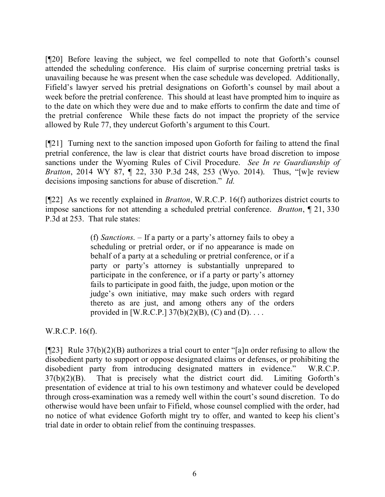[¶20] Before leaving the subject, we feel compelled to note that Goforth's counsel attended the scheduling conference. His claim of surprise concerning pretrial tasks is unavailing because he was present when the case schedule was developed. Additionally, Fifield's lawyer served his pretrial designations on Goforth's counsel by mail about a week before the pretrial conference. This should at least have prompted him to inquire as to the date on which they were due and to make efforts to confirm the date and time of the pretrial conference While these facts do not impact the propriety of the service allowed by Rule 77, they undercut Goforth's argument to this Court.

[¶21] Turning next to the sanction imposed upon Goforth for failing to attend the final pretrial conference, the law is clear that district courts have broad discretion to impose sanctions under the Wyoming Rules of Civil Procedure. *See In re Guardianship of Bratton*, 2014 WY 87, ¶ 22, 330 P.3d 248, 253 (Wyo. 2014). Thus, "[w]e review decisions imposing sanctions for abuse of discretion." *Id.*

[¶22] As we recently explained in *Bratton*, W.R.C.P. 16(f) authorizes district courts to impose sanctions for not attending a scheduled pretrial conference. *Bratton*, ¶ 21, 330 P.3d at 253. That rule states:

> (f) *Sanctions*. – If a party or a party's attorney fails to obey a scheduling or pretrial order, or if no appearance is made on behalf of a party at a scheduling or pretrial conference, or if a party or party's attorney is substantially unprepared to participate in the conference, or if a party or party's attorney fails to participate in good faith, the judge, upon motion or the judge's own initiative, may make such orders with regard thereto as are just, and among others any of the orders provided in [W.R.C.P.]  $37(b)(2)(B)$ , (C) and (D)....

W.R.C.P. 16(f).

[¶23] Rule 37(b)(2)(B) authorizes a trial court to enter "[a]n order refusing to allow the disobedient party to support or oppose designated claims or defenses, or prohibiting the disobedient party from introducing designated matters in evidence." W.R.C.P.  $37(b)(2)(B)$ . That is precisely what the district court did. Limiting Goforth's presentation of evidence at trial to his own testimony and whatever could be developed through cross-examination was a remedy well within the court's sound discretion. To do otherwise would have been unfair to Fifield, whose counsel complied with the order, had no notice of what evidence Goforth might try to offer, and wanted to keep his client's trial date in order to obtain relief from the continuing trespasses.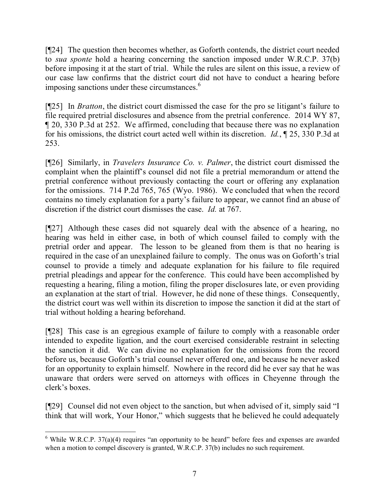[¶24] The question then becomes whether, as Goforth contends, the district court needed to *sua sponte* hold a hearing concerning the sanction imposed under W.R.C.P. 37(b) before imposing it at the start of trial. While the rules are silent on this issue, a review of our case law confirms that the district court did not have to conduct a hearing before imposing sanctions under these circumstances.<sup>6</sup>

[¶25] In *Bratton*, the district court dismissed the case for the pro se litigant's failure to file required pretrial disclosures and absence from the pretrial conference. 2014 WY 87, ¶ 20, 330 P.3d at 252. We affirmed, concluding that because there was no explanation for his omissions, the district court acted well within its discretion. *Id.*, ¶ 25, 330 P.3d at 253.

[¶26] Similarly, in *Travelers Insurance Co. v. Palmer*, the district court dismissed the complaint when the plaintiff's counsel did not file a pretrial memorandum or attend the pretrial conference without previously contacting the court or offering any explanation for the omissions. 714 P.2d 765, 765 (Wyo. 1986). We concluded that when the record contains no timely explanation for a party's failure to appear, we cannot find an abuse of discretion if the district court dismisses the case. *Id.* at 767.

[¶27] Although these cases did not squarely deal with the absence of a hearing, no hearing was held in either case, in both of which counsel failed to comply with the pretrial order and appear. The lesson to be gleaned from them is that no hearing is required in the case of an unexplained failure to comply. The onus was on Goforth's trial counsel to provide a timely and adequate explanation for his failure to file required pretrial pleadings and appear for the conference. This could have been accomplished by requesting a hearing, filing a motion, filing the proper disclosures late, or even providing an explanation at the start of trial. However, he did none of these things. Consequently, the district court was well within its discretion to impose the sanction it did at the start of trial without holding a hearing beforehand.

[¶28] This case is an egregious example of failure to comply with a reasonable order intended to expedite ligation, and the court exercised considerable restraint in selecting the sanction it did. We can divine no explanation for the omissions from the record before us, because Goforth's trial counsel never offered one, and because he never asked for an opportunity to explain himself. Nowhere in the record did he ever say that he was unaware that orders were served on attorneys with offices in Cheyenne through the clerk's boxes.

[¶29] Counsel did not even object to the sanction, but when advised of it, simply said "I think that will work, Your Honor," which suggests that he believed he could adequately

 $6$  While W.R.C.P. 37(a)(4) requires "an opportunity to be heard" before fees and expenses are awarded when a motion to compel discovery is granted, W.R.C.P. 37(b) includes no such requirement.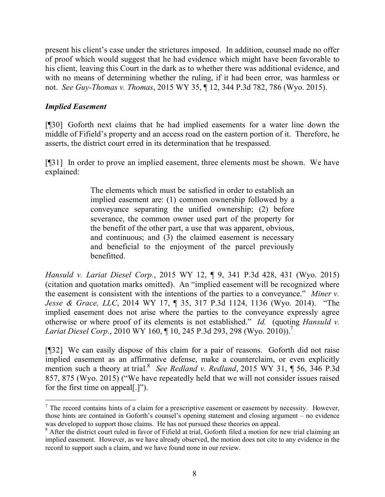present his client's case under the strictures imposed. In addition, counsel made no offer of proof which would suggest that he had evidence which might have been favorable to his client, leaving this Court in the dark as to whether there was additional evidence, and with no means of determining whether the ruling, if it had been error, was harmless or not. *See Guy-Thomas v. Thomas*, 2015 WY 35, ¶ 12, 344 P.3d 782, 786 (Wyo. 2015).

## *Implied Easement*

 $\overline{a}$ 

[¶30] Goforth next claims that he had implied easements for a water line down the middle of Fifield's property and an access road on the eastern portion of it. Therefore, he asserts, the district court erred in its determination that he trespassed.

[¶31] In order to prove an implied easement, three elements must be shown. We have explained:

> The elements which must be satisfied in order to establish an implied easement are: (1) common ownership followed by a conveyance separating the unified ownership; (2) before severance, the common owner used part of the property for the benefit of the other part, a use that was apparent, obvious, and continuous; and (3) the claimed easement is necessary and beneficial to the enjoyment of the parcel previously benefitted.

*Hansuld v. Lariat Diesel Corp.*, 2015 WY 12, ¶ 9, 341 P.3d 428, 431 (Wyo. 2015) (citation and quotation marks omitted). An "implied easement will be recognized where the easement is consistent with the intentions of the parties to a conveyance." *Miner v. Jesse & Grace, LLC*, 2014 WY 17, ¶ 35, 317 P.3d 1124, 1136 (Wyo. 2014). "The implied easement does not arise where the parties to the conveyance expressly agree otherwise or where proof of its elements is not established." *Id.* (quoting *Hansuld v. Lariat Diesel Corp.*, 2010 WY 160, ¶ 10, 245 P.3d 293, 298 (Wyo. 2010)).<sup>7</sup>

[¶32] We can easily dispose of this claim for a pair of reasons. Goforth did not raise implied easement as an affirmative defense, make a counterclaim, or even explicitly mention such a theory at trial.<sup>8</sup> See Redland v. Redland, 2015 WY 31, ¶ 56, 346 P.3d 857, 875 (Wyo. 2015) ("We have repeatedly held that we will not consider issues raised for the first time on appeal[.]").

 $7$  The record contains hints of a claim for a prescriptive easement or easement by necessity. However, those hints are contained in Goforth's counsel's opening statement and closing argument – no evidence was developed to support those claims. He has not pursued these theories on appeal.

<sup>&</sup>lt;sup>8</sup> After the district court ruled in favor of Fifield at trial, Goforth filed a motion for new trial claiming an implied easement. However, as we have already observed, the motion does not cite to any evidence in the record to support such a claim, and we have found none in our review.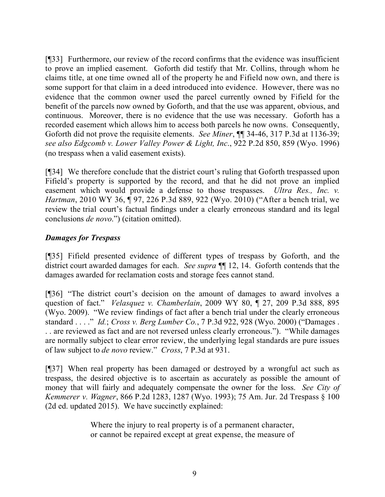[¶33] Furthermore, our review of the record confirms that the evidence was insufficient to prove an implied easement. Goforth did testify that Mr. Collins, through whom he claims title, at one time owned all of the property he and Fifield now own, and there is some support for that claim in a deed introduced into evidence. However, there was no evidence that the common owner used the parcel currently owned by Fifield for the benefit of the parcels now owned by Goforth, and that the use was apparent, obvious, and continuous. Moreover, there is no evidence that the use was necessary. Goforth has a recorded easement which allows him to access both parcels he now owns. Consequently, Goforth did not prove the requisite elements. *See Miner*, ¶¶ 34-46, 317 P.3d at 1136-39; *see also Edgcomb v. Lower Valley Power & Light, Inc*., 922 P.2d 850, 859 (Wyo. 1996) (no trespass when a valid easement exists).

[¶34] We therefore conclude that the district court's ruling that Goforth trespassed upon Fifield's property is supported by the record, and that he did not prove an implied easement which would provide a defense to those trespasses. *Ultra Res., Inc. v. Hartman*, 2010 WY 36, ¶ 97, 226 P.3d 889, 922 (Wyo. 2010) ("After a bench trial, we review the trial court's factual findings under a clearly erroneous standard and its legal conclusions *de novo*.") (citation omitted).

## *Damages for Trespass*

[¶35] Fifield presented evidence of different types of trespass by Goforth, and the district court awarded damages for each. *See supra* ¶¶ 12, 14. Goforth contends that the damages awarded for reclamation costs and storage fees cannot stand.

[¶36] "The district court's decision on the amount of damages to award involves a question of fact." *Velasquez v. Chamberlain*, 2009 WY 80, ¶ 27, 209 P.3d 888, 895 (Wyo. 2009). "We review findings of fact after a bench trial under the clearly erroneous standard . . . ." *Id.*; *Cross v. Berg Lumber Co.*, 7 P.3d 922, 928 (Wyo. 2000) ("Damages . . . are reviewed as fact and are not reversed unless clearly erroneous."). "While damages are normally subject to clear error review, the underlying legal standards are pure issues of law subject to *de novo* review." *Cross*, 7 P.3d at 931.

[¶37] When real property has been damaged or destroyed by a wrongful act such as trespass, the desired objective is to ascertain as accurately as possible the amount of money that will fairly and adequately compensate the owner for the loss. *See City of Kemmerer v. Wagner*, 866 P.2d 1283, 1287 (Wyo. 1993); 75 Am. Jur. 2d Trespass § 100 (2d ed. updated 2015). We have succinctly explained:

> Where the injury to real property is of a permanent character, or cannot be repaired except at great expense, the measure of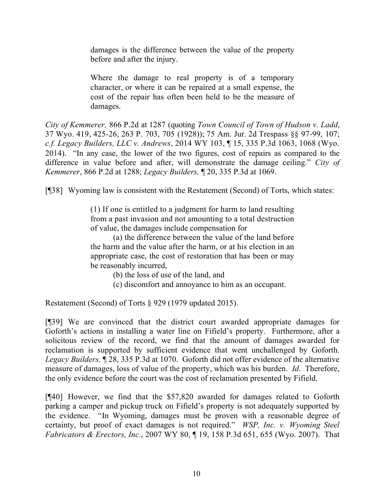damages is the difference between the value of the property before and after the injury.

Where the damage to real property is of a temporary character, or where it can be repaired at a small expense, the cost of the repair has often been held to be the measure of damages.

*City of Kemmerer,* 866 P.2d at 1287 (quoting *Town Council of Town of Hudson v. Ladd*, 37 Wyo. 419, 425-26, 263 P. 703, 705 (1928)); 75 Am. Jur. 2d Trespass §§ 97-99, 107; *c.f. Legacy Builders, LLC v. Andrews*, 2014 WY 103, ¶ 15, 335 P.3d 1063, 1068 (Wyo. 2014). "In any case, the lower of the two figures, cost of repairs as compared to the difference in value before and after, will demonstrate the damage ceiling." *City of Kemmerer*, 866 P.2d at 1288; *Legacy Builders,* ¶ 20, 335 P.3d at 1069.

[¶38] Wyoming law is consistent with the Restatement (Second) of Torts, which states:

(1) If one is entitled to a judgment for harm to land resulting from a past invasion and not amounting to a total destruction of value, the damages include compensation for

(a) the difference between the value of the land before the harm and the value after the harm, or at his election in an appropriate case, the cost of restoration that has been or may be reasonably incurred,

(b) the loss of use of the land, and

(c) discomfort and annoyance to him as an occupant.

Restatement (Second) of Torts § 929 (1979 updated 2015).

[¶39] We are convinced that the district court awarded appropriate damages for Goforth's actions in installing a water line on Fifield's property. Furthermore, after a solicitous review of the record, we find that the amount of damages awarded for reclamation is supported by sufficient evidence that went unchallenged by Goforth. *Legacy Builders,* ¶ 28, 335 P.3d at 1070. Goforth did not offer evidence of the alternative measure of damages, loss of value of the property, which was his burden. *Id*. Therefore, the only evidence before the court was the cost of reclamation presented by Fifield.

[¶40] However, we find that the \$57,820 awarded for damages related to Goforth parking a camper and pickup truck on Fifield's property is not adequately supported by the evidence. "In Wyoming, damages must be proven with a reasonable degree of certainty, but proof of exact damages is not required." *WSP, Inc. v. Wyoming Steel Fabricators & Erectors, Inc.*, 2007 WY 80, ¶ 19, 158 P.3d 651, 655 (Wyo. 2007). That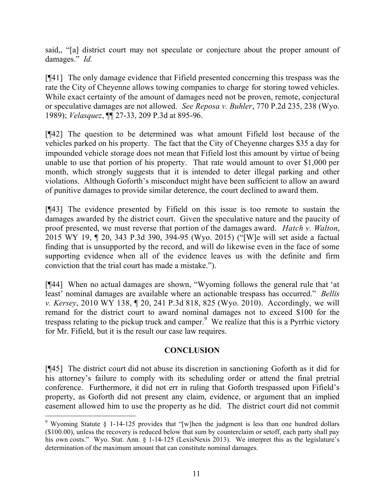said,, "[a] district court may not speculate or conjecture about the proper amount of damages." *Id.*

[¶41] The only damage evidence that Fifield presented concerning this trespass was the rate the City of Cheyenne allows towing companies to charge for storing towed vehicles. While exact certainty of the amount of damages need not be proven, remote, conjectural or speculative damages are not allowed. *See Reposa v. Buhler*, 770 P.2d 235, 238 (Wyo. 1989); *Velasquez*, ¶¶ 27-33, 209 P.3d at 895-96.

[¶42] The question to be determined was what amount Fifield lost because of the vehicles parked on his property. The fact that the City of Cheyenne charges \$35 a day for impounded vehicle storage does not mean that Fifield lost this amount by virtue of being unable to use that portion of his property. That rate would amount to over \$1,000 per month, which strongly suggests that it is intended to deter illegal parking and other violations. Although Goforth's misconduct might have been sufficient to allow an award of punitive damages to provide similar deterence, the court declined to award them.

[¶43] The evidence presented by Fifield on this issue is too remote to sustain the damages awarded by the district court. Given the speculative nature and the paucity of proof presented, we must reverse that portion of the damages award. *Hatch v. Walton*, 2015 WY 19, ¶ 20, 343 P.3d 390, 394-95 (Wyo. 2015) ("[W]e will set aside a factual finding that is unsupported by the record, and will do likewise even in the face of some supporting evidence when all of the evidence leaves us with the definite and firm conviction that the trial court has made a mistake.").

[¶44] When no actual damages are shown, "Wyoming follows the general rule that 'at least' nominal damages are available where an actionable trespass has occurred." *Bellis v. Kersey*, 2010 WY 138, ¶ 20, 241 P.3d 818, 825 (Wyo. 2010). Accordingly, we will remand for the district court to award nominal damages not to exceed \$100 for the trespass relating to the pickup truck and camper. We realize that this is a Pyrrhic victory for Mr. Fifield, but it is the result our case law requires.

## **CONCLUSION**

[¶45] The district court did not abuse its discretion in sanctioning Goforth as it did for his attorney's failure to comply with its scheduling order or attend the final pretrial conference. Furthermore, it did not err in ruling that Goforth trespassed upon Fifield's property, as Goforth did not present any claim, evidence, or argument that an implied easement allowed him to use the property as he did. The district court did not commit

 $\overline{a}$ 

<sup>&</sup>lt;sup>9</sup> Wyoming Statute § 1-14-125 provides that "[w]hen the judgment is less than one hundred dollars (\$100.00), unless the recovery is reduced below that sum by counterclaim or setoff, each party shall pay his own costs." Wyo. Stat. Ann. § 1-14-125 (LexisNexis 2013). We interpret this as the legislature's determination of the maximum amount that can constitute nominal damages.